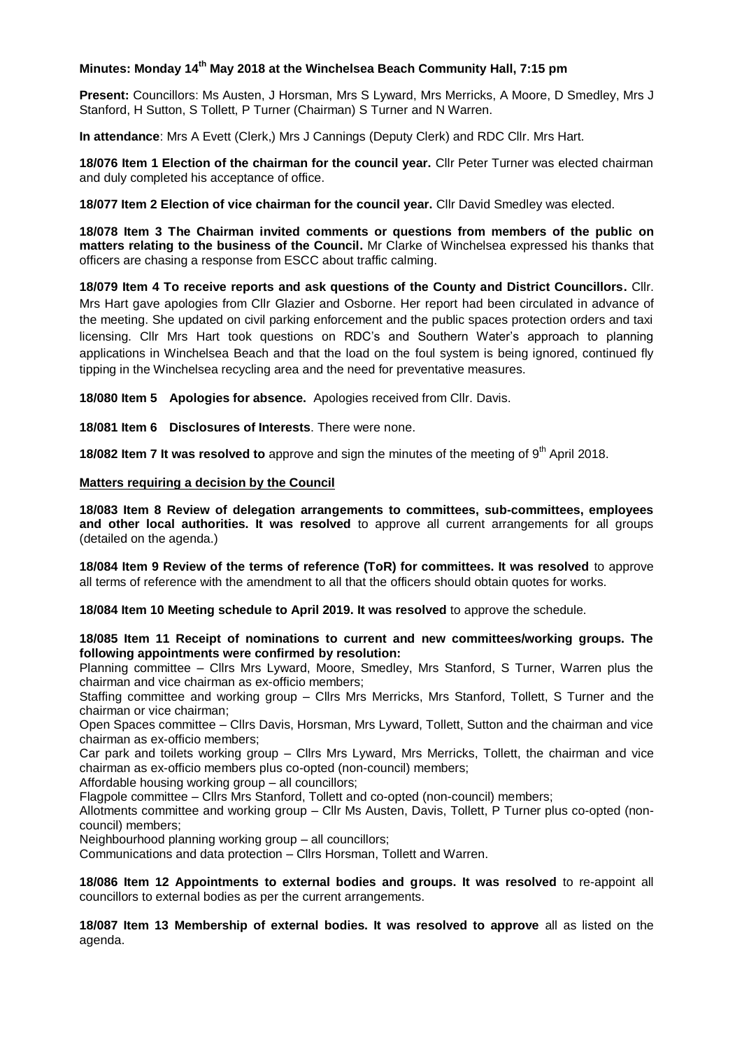## **Minutes: Monday 14th May 2018 at the Winchelsea Beach Community Hall, 7:15 pm**

**Present:** Councillors: Ms Austen, J Horsman, Mrs S Lyward, Mrs Merricks, A Moore, D Smedley, Mrs J Stanford, H Sutton, S Tollett, P Turner (Chairman) S Turner and N Warren.

**In attendance**: Mrs A Evett (Clerk,) Mrs J Cannings (Deputy Clerk) and RDC Cllr. Mrs Hart.

**18/076 Item 1 Election of the chairman for the council year.** Cllr Peter Turner was elected chairman and duly completed his acceptance of office.

**18/077 Item 2 Election of vice chairman for the council year.** Cllr David Smedley was elected.

**18/078 Item 3 The Chairman invited comments or questions from members of the public on matters relating to the business of the Council.** Mr Clarke of Winchelsea expressed his thanks that officers are chasing a response from ESCC about traffic calming.

**18/079 Item 4 To receive reports and ask questions of the County and District Councillors.** Cllr. Mrs Hart gave apologies from Cllr Glazier and Osborne. Her report had been circulated in advance of the meeting. She updated on civil parking enforcement and the public spaces protection orders and taxi licensing. Cllr Mrs Hart took questions on RDC's and Southern Water's approach to planning applications in Winchelsea Beach and that the load on the foul system is being ignored, continued fly tipping in the Winchelsea recycling area and the need for preventative measures.

**18/080 Item 5 Apologies for absence.** Apologies received from Cllr. Davis.

**18/081 Item 6 Disclosures of Interests**. There were none.

**18/082 Item 7 It was resolved to** approve and sign the minutes of the meeting of 9<sup>th</sup> April 2018.

## **Matters requiring a decision by the Council**

**18/083 Item 8 Review of delegation arrangements to committees, sub-committees, employees and other local authorities. It was resolved** to approve all current arrangements for all groups (detailed on the agenda.)

**18/084 Item 9 Review of the terms of reference (ToR) for committees. It was resolved** to approve all terms of reference with the amendment to all that the officers should obtain quotes for works.

**18/084 Item 10 Meeting schedule to April 2019. It was resolved** to approve the schedule.

**18/085 Item 11 Receipt of nominations to current and new committees/working groups. The following appointments were confirmed by resolution:**

Planning committee – Cllrs Mrs Lyward, Moore, Smedley, Mrs Stanford, S Turner, Warren plus the chairman and vice chairman as ex-officio members;

Staffing committee and working group – Cllrs Mrs Merricks, Mrs Stanford, Tollett, S Turner and the chairman or vice chairman;

Open Spaces committee – Cllrs Davis, Horsman, Mrs Lyward, Tollett, Sutton and the chairman and vice chairman as ex-officio members;

Car park and toilets working group – Cllrs Mrs Lyward, Mrs Merricks, Tollett, the chairman and vice chairman as ex-officio members plus co-opted (non-council) members;

Affordable housing working group – all councillors;

Flagpole committee – Cllrs Mrs Stanford, Tollett and co-opted (non-council) members;

Allotments committee and working group – Cllr Ms Austen, Davis, Tollett, P Turner plus co-opted (noncouncil) members;

Neighbourhood planning working group – all councillors;

Communications and data protection – Cllrs Horsman, Tollett and Warren.

**18/086 Item 12 Appointments to external bodies and groups. It was resolved** to re-appoint all councillors to external bodies as per the current arrangements.

**18/087 Item 13 Membership of external bodies. It was resolved to approve** all as listed on the agenda.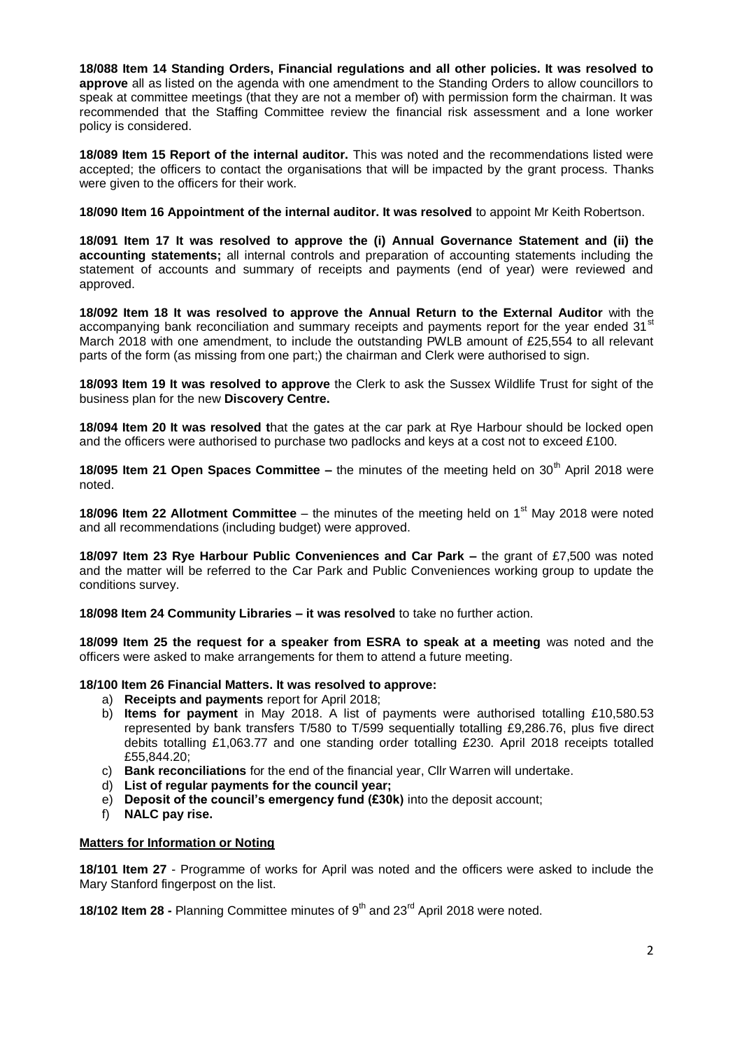**18/088 Item 14 Standing Orders, Financial regulations and all other policies. It was resolved to approve** all as listed on the agenda with one amendment to the Standing Orders to allow councillors to speak at committee meetings (that they are not a member of) with permission form the chairman. It was recommended that the Staffing Committee review the financial risk assessment and a lone worker policy is considered.

**18/089 Item 15 Report of the internal auditor.** This was noted and the recommendations listed were accepted; the officers to contact the organisations that will be impacted by the grant process. Thanks were given to the officers for their work.

**18/090 Item 16 Appointment of the internal auditor. It was resolved** to appoint Mr Keith Robertson.

**18/091 Item 17 It was resolved to approve the (i) Annual Governance Statement and (ii) the accounting statements;** all internal controls and preparation of accounting statements including the statement of accounts and summary of receipts and payments (end of year) were reviewed and approved.

**18/092 Item 18 It was resolved to approve the Annual Return to the External Auditor** with the accompanying bank reconciliation and summary receipts and payments report for the year ended 31<sup>st</sup> March 2018 with one amendment, to include the outstanding PWLB amount of £25,554 to all relevant parts of the form (as missing from one part;) the chairman and Clerk were authorised to sign.

**18/093 Item 19 It was resolved to approve** the Clerk to ask the Sussex Wildlife Trust for sight of the business plan for the new **Discovery Centre.**

**18/094 Item 20 It was resolved t**hat the gates at the car park at Rye Harbour should be locked open and the officers were authorised to purchase two padlocks and keys at a cost not to exceed £100.

**18/095 Item 21 Open Spaces Committee –** the minutes of the meeting held on 30<sup>th</sup> April 2018 were noted.

**18/096 Item 22 Allotment Committee** – the minutes of the meeting held on 1<sup>st</sup> May 2018 were noted and all recommendations (including budget) were approved.

**18/097 Item 23 Rye Harbour Public Conveniences and Car Park –** the grant of £7,500 was noted and the matter will be referred to the Car Park and Public Conveniences working group to update the conditions survey.

**18/098 Item 24 Community Libraries – it was resolved** to take no further action.

**18/099 Item 25 the request for a speaker from ESRA to speak at a meeting** was noted and the officers were asked to make arrangements for them to attend a future meeting.

## **18/100 Item 26 Financial Matters. It was resolved to approve:**

- a) **Receipts and payments** report for April 2018;
- b) **Items for payment** in May 2018. A list of payments were authorised totalling £10,580.53 represented by bank transfers T/580 to T/599 sequentially totalling £9,286.76, plus five direct debits totalling £1,063.77 and one standing order totalling £230. April 2018 receipts totalled £55,844.20;
- c) **Bank reconciliations** for the end of the financial year, Cllr Warren will undertake.
- d) **List of regular payments for the council year;**
- e) **Deposit of the council's emergency fund (£30k)** into the deposit account;
- f) **NALC pay rise.**

## **Matters for Information or Noting**

**18/101 Item 27** - Programme of works for April was noted and the officers were asked to include the Mary Stanford fingerpost on the list.

**18/102 Item 28 -** Planning Committee minutes of 9<sup>th</sup> and 23<sup>rd</sup> April 2018 were noted.